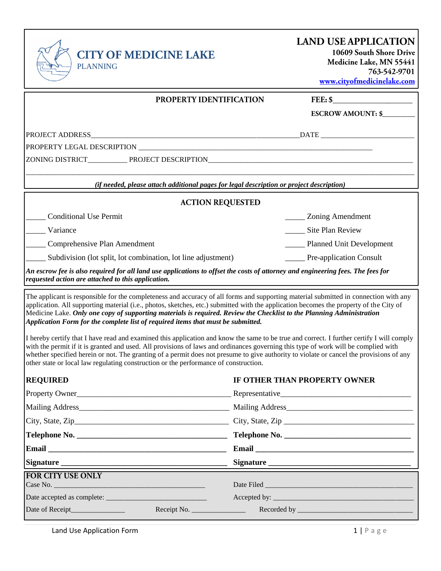

|  | www.cityofmedicinelake.com |
|--|----------------------------|
|  |                            |

|                                                               | <b>PROPERTY IDENTIFICATION</b><br>FEE: \$                                                                                       |
|---------------------------------------------------------------|---------------------------------------------------------------------------------------------------------------------------------|
|                                                               | <b>ESCROW AMOUNT: \$</b>                                                                                                        |
|                                                               |                                                                                                                                 |
|                                                               |                                                                                                                                 |
|                                                               |                                                                                                                                 |
|                                                               | (if needed, please attach additional pages for legal description or project description)                                        |
|                                                               | <b>ACTION REQUESTED</b>                                                                                                         |
| <b>Conditional Use Permit</b>                                 | Zoning Amendment                                                                                                                |
| Variance                                                      | Site Plan Review                                                                                                                |
| Comprehensive Plan Amendment                                  | <b>Planned Unit Development</b>                                                                                                 |
| Subdivision (lot split, lot combination, lot line adjustment) | _____ Pre-application Consult                                                                                                   |
| requested action are attached to this application.            | An escrow fee is also required for all land use applications to offset the costs of attorney and engineering fees. The fees for |

The applicant is responsible for the completeness and accuracy of all forms and supporting material submitted in connection with any application. All supporting material (i.e., photos, sketches, etc.) submitted with the application becomes the property of the City of Medicine Lake. *Only one copy of supporting materials is required. Review the Checklist to the Planning Administration Application Form for the complete list of required items that must be submitted.* 

I hereby certify that I have read and examined this application and know the same to be true and correct. I further certify I will comply with the permit if it is granted and used. All provisions of laws and ordinances governing this type of work will be complied with whether specified herein or not. The granting of a permit does not presume to give authority to violate or cancel the provisions of any other state or local law regulating construction or the performance of construction.

| <b>REQUIRED</b>          | IF OTHER THAN PROPERTY OWNER                                                                                   |
|--------------------------|----------------------------------------------------------------------------------------------------------------|
|                          |                                                                                                                |
|                          |                                                                                                                |
|                          |                                                                                                                |
|                          | Telephone No.                                                                                                  |
|                          | Email experience and the service of the service of the service of the service of the service of the service of |
|                          | Signature                                                                                                      |
| <b>FOR CITY USE ONLY</b> |                                                                                                                |
|                          |                                                                                                                |
|                          |                                                                                                                |
|                          |                                                                                                                |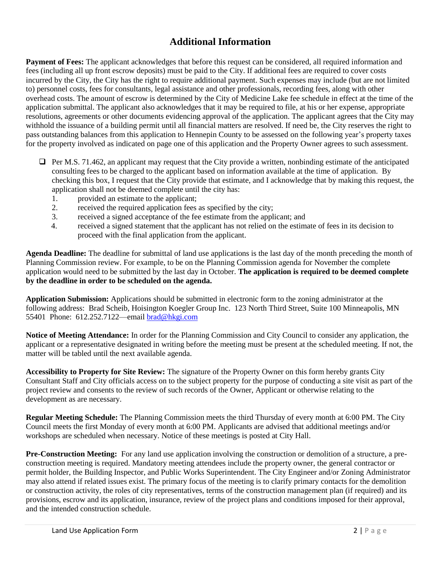### **Additional Information**

**Payment of Fees:** The applicant acknowledges that before this request can be considered, all required information and fees (including all up front escrow deposits) must be paid to the City. If additional fees are required to cover costs incurred by the City, the City has the right to require additional payment. Such expenses may include (but are not limited to) personnel costs, fees for consultants, legal assistance and other professionals, recording fees, along with other overhead costs. The amount of escrow is determined by the City of Medicine Lake fee schedule in effect at the time of the application submittal. The applicant also acknowledges that it may be required to file, at his or her expense, appropriate resolutions, agreements or other documents evidencing approval of the application. The applicant agrees that the City may withhold the issuance of a building permit until all financial matters are resolved. If need be, the City reserves the right to pass outstanding balances from this application to Hennepin County to be assessed on the following year's property taxes for the property involved as indicated on page one of this application and the Property Owner agrees to such assessment.

- $\Box$  Per M.S. 71.462, an applicant may request that the City provide a written, nonbinding estimate of the anticipated consulting fees to be charged to the applicant based on information available at the time of application. By checking this box, I request that the City provide that estimate, and I acknowledge that by making this request, the application shall not be deemed complete until the city has:
	- 1. provided an estimate to the applicant;
	- 2. received the required application fees as specified by the city;
	- 3. received a signed acceptance of the fee estimate from the applicant; and
	- 4. received a signed statement that the applicant has not relied on the estimate of fees in its decision to proceed with the final application from the applicant.

**Agenda Deadline:** The deadline for submittal of land use applications is the last day of the month preceding the month of Planning Commission review. For example, to be on the Planning Commission agenda for November the complete application would need to be submitted by the last day in October. **The application is required to be deemed complete by the deadline in order to be scheduled on the agenda.** 

**Application Submission:** Applications should be submitted in electronic form to the zoning administrator at the following address: Brad Scheib, Hoisington Koegler Group Inc. 123 North Third Street, Suite 100 Minneapolis, MN 55401 Phone: 612.252.7122—emai[l brad@hkgi.com](mailto:brad@hkgi.com)

**Notice of Meeting Attendance:** In order for the Planning Commission and City Council to consider any application, the applicant or a representative designated in writing before the meeting must be present at the scheduled meeting. If not, the matter will be tabled until the next available agenda.

**Accessibility to Property for Site Review:** The signature of the Property Owner on this form hereby grants City Consultant Staff and City officials access on to the subject property for the purpose of conducting a site visit as part of the project review and consents to the review of such records of the Owner, Applicant or otherwise relating to the development as are necessary.

**Regular Meeting Schedule:** The Planning Commission meets the third Thursday of every month at 6:00 PM. The City Council meets the first Monday of every month at 6:00 PM. Applicants are advised that additional meetings and/or workshops are scheduled when necessary. Notice of these meetings is posted at City Hall.

**Pre-Construction Meeting:** For any land use application involving the construction or demolition of a structure, a preconstruction meeting is required. Mandatory meeting attendees include the property owner, the general contractor or permit holder, the Building Inspector, and Public Works Superintendent. The City Engineer and/or Zoning Administrator may also attend if related issues exist. The primary focus of the meeting is to clarify primary contacts for the demolition or construction activity, the roles of city representatives, terms of the construction management plan (if required) and its provisions, escrow and its application, insurance, review of the project plans and conditions imposed for their approval, and the intended construction schedule.